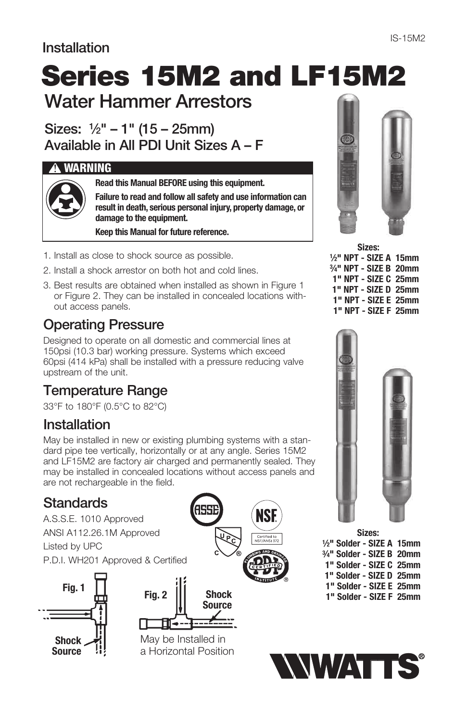#### Installation

# Water Hammer Arrestors Series 15M2 and LF15M2

Sizes:  $\frac{1}{2}$ " – 1" (15 – 25mm)

Available in All PDI Unit Sizes A – F

#### **!** WARNING



Read this Manual BEFORE using this equipment.

Failure to read and follow all safety and use information can result in death, serious personal injury, property damage, or damage to the equipment.

Keep this Manual for future reference.

- 1. Install as close to shock source as possible.
- 2. Install a shock arrestor on both hot and cold lines.
- 3. Best results are obtained when installed as shown in Figure 1 or Figure 2. They can be installed in concealed locations without access panels.

# Operating Pressure

Designed to operate on all domestic and commercial lines at 150psi (10.3 bar) working pressure. Systems which exceed 60psi (414 kPa) shall be installed with a pressure reducing valve upstream of the unit.

# Temperature Range

33°F to 180°F (0.5°C to 82°C)

## Installation

May be installed in new or existing plumbing systems with a standard pipe tee vertically, horizontally or at any angle. Series 15M2 and LF15M2 are factory air charged and permanently sealed. They may be installed in concealed locations without access panels and are not rechargeable in the field.

## Standards

Fig. 1 A.S.S.E. 1010 Approved ANSI A112.26.1M Approved Listed by UPC P.D.I. WH201 Approved & Certified







May be Installed in a Horizontal Position



| 1/2" NPT - SIZE A 15mm |
|------------------------|
| 3/4" NPT - SIZE B 20mm |
| 1" NPT - SIZE C 25mm   |
| 1" NPT - SIZE D 25mm   |
| 1" NPT - SIZE E 25mm   |
| 1" NPT - SIZE F 25mm   |
|                        |



Sizes: 1 ⁄2" Solder - SIZE A 15mm 3 ⁄4" Solder - SIZE B 20mm 1" Solder - SIZE C 25mm 1" Solder - SIZE D 25mm 1" Solder - SIZE E 25mm 1" Solder - SIZE F 25mm